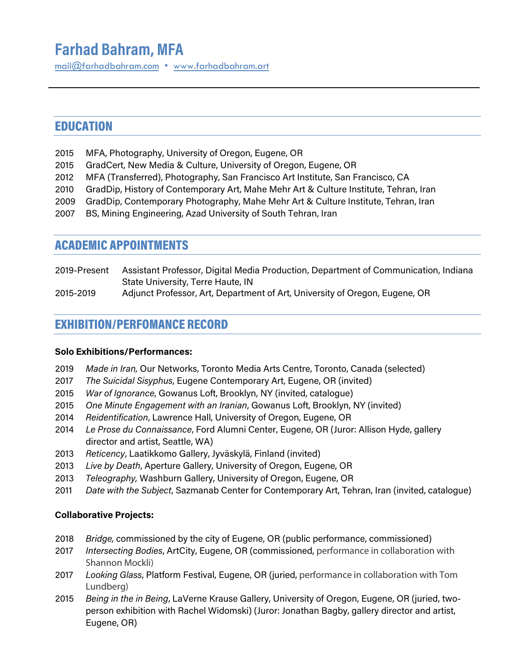# **Farhad Bahram, MFA**

[mail@farhadbahram.com](mailto:mail@farhadbahram.com) • www.farhadbahra[m.art](http://www.farhadbahram.art/)

# EDUCATION

- 2015 MFA, Photography, University of Oregon, Eugene, OR
- 2015 GradCert, New Media & Culture, University of Oregon, Eugene, OR
- 2012 MFA (Transferred), Photography, San Francisco Art Institute, San Francisco, CA
- 2010 GradDip, History of Contemporary Art, Mahe Mehr Art & Culture Institute, Tehran, Iran
- 2009 GradDip, Contemporary Photography, Mahe Mehr Art & Culture Institute, Tehran, Iran
- 2007 BS, Mining Engineering, Azad University of South Tehran, Iran

### ACADEMIC APPOINTMENTS

- 2019-Present Assistant Professor, Digital Media Production, Department of Communication, Indiana State University, Terre Haute, IN
- 2015-2019 Adjunct Professor, Art, Department of Art, University of Oregon, Eugene, OR

# EXHIBITION/PERFOMANCE RECORD

### **Solo Exhibitions/Performances:**

- 2019 *Made in Iran,* Our Networks, Toronto Media Arts Centre, Toronto, Canada (selected)
- 2017 *The Suicidal Sisyphus*, Eugene Contemporary Art, Eugene, OR (invited)
- 2015 *War of Ignorance*, Gowanus Loft, Brooklyn, NY (invited, catalogue)
- 2015 *One Minute Engagement with an Iranian*, Gowanus Loft, Brooklyn, NY (invited)
- 2014 *Reidentification*, Lawrence Hall, University of Oregon, Eugene, OR
- 2014 *Le Prose du Connaissance*, Ford Alumni Center, Eugene, OR (Juror: Allison Hyde, gallery director and artist, Seattle, WA)
- 2013 *Reticency*, Laatikkomo Gallery, Jyväskylä, Finland (invited)
- 2013 *Live by Death*, Aperture Gallery, University of Oregon, Eugene, OR
- 2013 *Teleography,* Washburn Gallery, University of Oregon, Eugene, OR
- 2011 *Date with the Subject*, Sazmanab Center for Contemporary Art, Tehran, Iran (invited, catalogue)

### **Collaborative Projects:**

- 2018 *Bridge,* commissioned by the city of Eugene, OR (public performance, commissioned)
- 2017 *Intersecting Bodies*, ArtCity, Eugene, OR (commissioned, performance in collaboration with Shannon Mockli)
- 2017 *Looking Glass*, Platform Festival, Eugene, OR (juried, performance in collaboration with Tom Lundberg)
- 2015 *Being in the in Being*, LaVerne Krause Gallery, University of Oregon, Eugene, OR (juried, twoperson exhibition with Rachel Widomski) (Juror: Jonathan Bagby, gallery director and artist, Eugene, OR)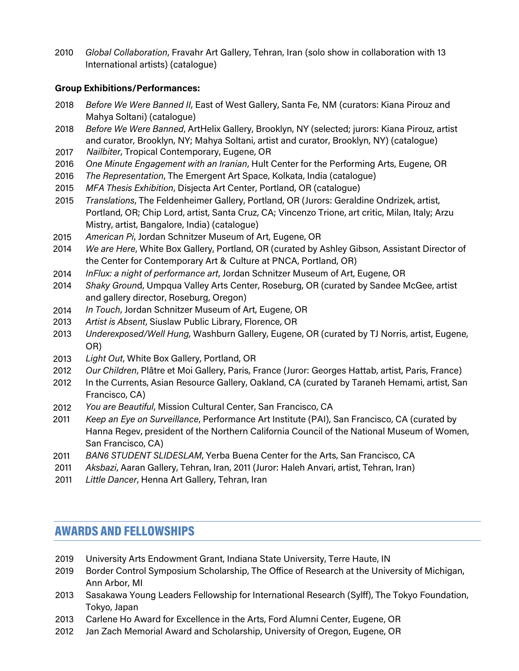*Global Collaboration*, Fravahr Art Gallery, Tehran, Iran (solo show in collaboration with 13 International artists) (catalogue)

### **Group Exhibitions/Performances:**

- *Before We Were Banned II*, East of West Gallery, Santa Fe, NM (curators: Kiana Pirouz and Mahya Soltani) (catalogue)
- *Before We Were Banned*, ArtHelix Gallery, Brooklyn, NY (selected; jurors: Kiana Pirouz, artist and curator, Brooklyn, NY; Mahya Soltani, artist and curator, Brooklyn, NY) (catalogue)
- *Nailbiter*, Tropical Contemporary, Eugene, OR
- *One Minute Engagement with an Iranian*, Hult Center for the Performing Arts, Eugene, OR
- *The Representation*, The Emergent Art Space, Kolkata, India (catalogue)
- *MFA Thesis Exhibition*, Disjecta Art Center, Portland, OR (catalogue)
- *Translations*, The Feldenheimer Gallery, Portland, OR (Jurors: Geraldine Ondrizek, artist, Portland, OR; Chip Lord, artist, Santa Cruz, CA; Vincenzo Trione, art critic, Milan, Italy; Arzu Mistry, artist, Bangalore, India) (catalogue)
- *American Pi*, Jordan Schnitzer Museum of Art, Eugene, OR
- *We are Here*, White Box Gallery, Portland, OR (curated by Ashley Gibson, Assistant Director of the Center for Contemporary Art & Culture at PNCA, Portland, OR)
- *InFlux: a night of performance art*, Jordan Schnitzer Museum of Art, Eugene, OR
- *Shaky Groun*d, Umpqua Valley Arts Center, Roseburg, OR (curated by Sandee McGee, artist and gallery director, Roseburg, Oregon)
- *In Touch*, Jordan Schnitzer Museum of Art, Eugene, OR
- *Artist is Absent*, Siuslaw Public Library, Florence, OR
- *Underexposed/Well Hung,* Washburn Gallery, Eugene, OR (curated by TJ Norris, artist, Eugene, OR)
- *Light Out*, White Box Gallery, Portland, OR
- *Our Children*, Plâtre et Moi Gallery, Paris, France (Juror: Georges Hattab, artist, Paris, France)
- 2012 In the Currents, Asian Resource Gallery, Oakland, CA (curated by Taraneh Hemami, artist, San Francisco, CA)
- *You are Beautiful*, Mission Cultural Center, San Francisco, CA
- *Keep an Eye on Surveillance*, Performance Art Institute (PAI), San Francisco, CA (curated by Hanna Regev, president of the Northern California Council of the National Museum of Women, San Francisco, CA)
- *BAN6 STUDENT SLIDESLAM*, Yerba Buena Center for the Arts, San Francisco, CA
- *Aksbazi*, Aaran Gallery, Tehran, Iran, 2011 (Juror: Haleh Anvari, artist, Tehran, Iran)
- *Little Dancer*, Henna Art Gallery, Tehran, Iran

## AWARDS AND FELLOWSHIPS

- University Arts Endowment Grant, Indiana State University, Terre Haute, IN
- Border Control Symposium Scholarship, The Office of Research at the University of Michigan, Ann Arbor, MI
- Sasakawa Young Leaders Fellowship for International Research (Sylff), The Tokyo Foundation, Tokyo, Japan
- Carlene Ho Award for Excellence in the Arts, Ford Alumni Center, Eugene, OR
- Jan Zach Memorial Award and Scholarship, University of Oregon, Eugene, OR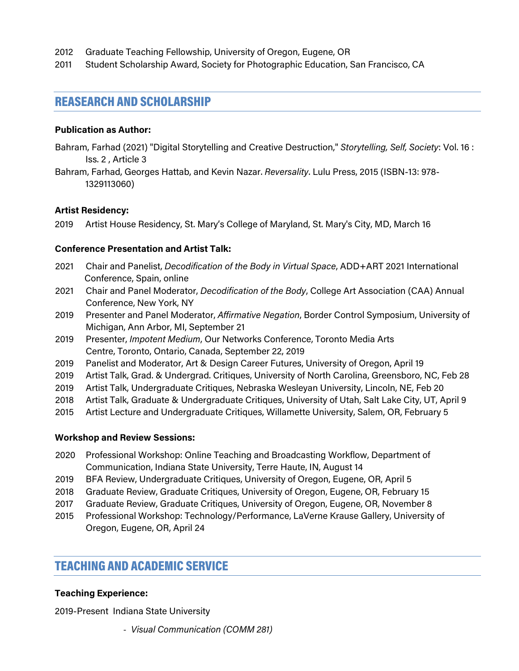- 2012 Graduate Teaching Fellowship, University of Oregon, Eugene, OR
- 2011 Student Scholarship Award, Society for Photographic Education, San Francisco, CA

### REASEARCH AND SCHOLARSHIP

#### **Publication as Author:**

- Bahram, Farhad (2021) "Digital Storytelling and Creative Destruction," *Storytelling, Self, Society*: Vol. 16 : Iss. 2 , Article 3
- Bahram, Farhad, Georges Hattab, and Kevin Nazar. *Reversality*. Lulu Press, 2015 (ISBN-13: 978- 1329113060)

#### **Artist Residency:**

2019 Artist House Residency, St. Mary's College of Maryland, St. Mary's City, MD, March 16

#### **Conference Presentation and Artist Talk:**

- 2021 Chair and Panelist, *Decodification of the Body in Virtual Space*, ADD+ART 2021 International Conference, Spain, online
- 2021 Chair and Panel Moderator, *Decodification of the Body*, College Art Association (CAA) Annual Conference, New York, NY
- 2019 Presenter and Panel Moderator, *Affirmative Negation*, Border Control Symposium, University of Michigan, Ann Arbor, MI, September 21
- 2019 Presenter, *Impotent Medium*, Our Networks Conference, Toronto Media Arts Centre, Toronto, Ontario, Canada, September 22, 2019
- 2019 Panelist and Moderator, Art & Design Career Futures, University of Oregon, April 19
- 2019 Artist Talk, Grad. & Undergrad. Critiques, University of North Carolina, Greensboro, NC, Feb 28
- 2019 Artist Talk, Undergraduate Critiques, Nebraska Wesleyan University, Lincoln, NE, Feb 20
- 2018 Artist Talk, Graduate & Undergraduate Critiques, University of Utah, Salt Lake City, UT, April 9
- 2015 Artist Lecture and Undergraduate Critiques, Willamette University, Salem, OR, February 5

#### **Workshop and Review Sessions:**

- 2020 Professional Workshop: Online Teaching and Broadcasting Workflow, Department of Communication, Indiana State University, Terre Haute, IN, August 14
- 2019 BFA Review, Undergraduate Critiques, University of Oregon, Eugene, OR, April 5
- 2018 Graduate Review, Graduate Critiques, University of Oregon, Eugene, OR, February 15
- 2017 Graduate Review, Graduate Critiques, University of Oregon, Eugene, OR, November 8
- 2015 Professional Workshop: Technology/Performance, LaVerne Krause Gallery, University of Oregon, Eugene, OR, April 24

### TEACHING AND ACADEMIC SERVICE

#### **Teaching Experience:**

2019-Present Indiana State University

- *Visual Communication (COMM 281)*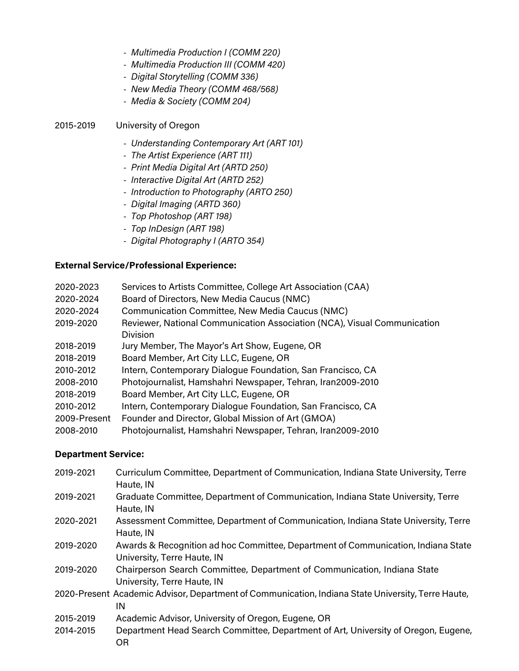- *Multimedia Production I (COMM 220)*
- *Multimedia Production III (COMM 420)*
- *Digital Storytelling (COMM 336)*
- *New Media Theory (COMM 468/568)*
- *Media & Society (COMM 204)*

#### 2015-2019 University of Oregon

- *Understanding Contemporary Art (ART 101)*
- *The Artist Experience (ART 111)*
- *Print Media Digital Art (ARTD 250)*
- *Interactive Digital Art (ARTD 252)*
- *Introduction to Photography (ARTO 250)*
- *Digital Imaging (ARTD 360)*
- *Top Photoshop (ART 198)*
- *Top InDesign (ART 198)*
- *Digital Photography I (ARTO 354)*

#### **External Service/Professional Experience:**

| 2020-2023    | Services to Artists Committee, College Art Association (CAA)                         |
|--------------|--------------------------------------------------------------------------------------|
| 2020-2024    | Board of Directors, New Media Caucus (NMC)                                           |
| 2020-2024    | Communication Committee, New Media Caucus (NMC)                                      |
| 2019-2020    | Reviewer, National Communication Association (NCA), Visual Communication<br>Division |
| 2018-2019    | Jury Member, The Mayor's Art Show, Eugene, OR                                        |
| 2018-2019    | Board Member, Art City LLC, Eugene, OR                                               |
| 2010-2012    | Intern, Contemporary Dialogue Foundation, San Francisco, CA                          |
| 2008-2010    | Photojournalist, Hamshahri Newspaper, Tehran, Iran2009-2010                          |
| 2018-2019    | Board Member, Art City LLC, Eugene, OR                                               |
| 2010-2012    | Intern, Contemporary Dialogue Foundation, San Francisco, CA                          |
| 2009-Present | Founder and Director, Global Mission of Art (GMOA)                                   |
| 2008-2010    | Photojournalist, Hamshahri Newspaper, Tehran, Iran2009-2010                          |
|              |                                                                                      |

#### **Department Service:**

| 2019-2021 | Curriculum Committee, Department of Communication, Indiana State University, Terre<br>Haute, IN                  |
|-----------|------------------------------------------------------------------------------------------------------------------|
| 2019-2021 | Graduate Committee, Department of Communication, Indiana State University, Terre<br>Haute, IN                    |
| 2020-2021 | Assessment Committee, Department of Communication, Indiana State University, Terre<br>Haute, IN                  |
| 2019-2020 | Awards & Recognition ad hoc Committee, Department of Communication, Indiana State<br>University, Terre Haute, IN |
| 2019-2020 | Chairperson Search Committee, Department of Communication, Indiana State<br>University, Terre Haute, IN          |
|           | 2020-Present Academic Advisor, Department of Communication, Indiana State University, Terre Haute,<br>IN         |
| 2015-2019 | Academic Advisor, University of Oregon, Eugene, OR                                                               |
| 2014-2015 | Department Head Search Committee, Department of Art, University of Oregon, Eugene,<br>ΟR                         |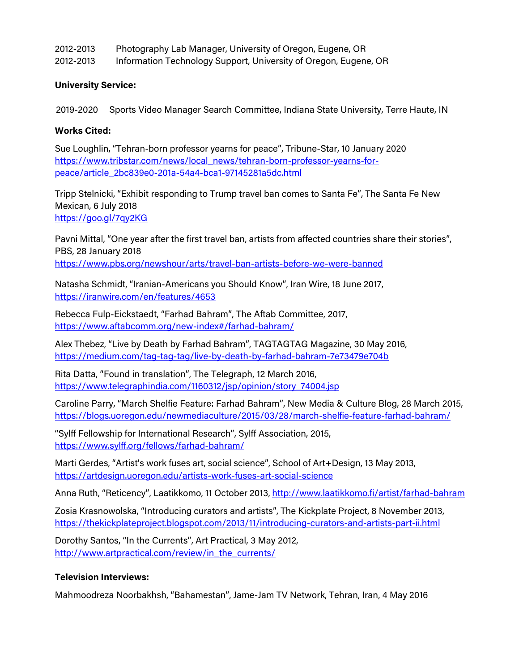| 2012-2013 | Photography Lab Manager, University of Oregon, Eugene, OR        |
|-----------|------------------------------------------------------------------|
| 2012-2013 | Information Technology Support, University of Oregon, Eugene, OR |

#### **University Service:**

2019-2020 Sports Video Manager Search Committee, Indiana State University, Terre Haute, IN

#### **Works Cited:**

Sue Loughlin, "Tehran-born professor yearns for peace", Tribune-Star, 10 January 2020 [https://www.tribstar.com/news/local\\_news/tehran-born-professor-yearns-for](https://www.tribstar.com/news/local_news/tehran-born-professor-yearns-for-peace/article_2bc839e0-201a-54a4-bca1-97145281a5dc.html)[peace/article\\_2bc839e0-201a-54a4-bca1-97145281a5dc.html](https://www.tribstar.com/news/local_news/tehran-born-professor-yearns-for-peace/article_2bc839e0-201a-54a4-bca1-97145281a5dc.html)

Tripp Stelnicki, "Exhibit responding to Trump travel ban comes to Santa Fe", The Santa Fe New Mexican, 6 July 2018 <https://goo.gl/7qy2KG>

Pavni Mittal, "One year after the first travel ban, artists from affected countries share their stories", PBS, 28 January 2018 <https://www.pbs.org/newshour/arts/travel-ban-artists-before-we-were-banned>

Natasha Schmidt, "Iranian-Americans you Should Know", Iran Wire, 18 June 2017, <https://iranwire.com/en/features/4653>

Rebecca Fulp-Eickstaedt, "Farhad Bahram", The Aftab Committee, 2017, [https://www.aftabcomm.org/new-index#/farhad-bahram/](https://www.aftabcomm.org/new-index%23/farhad-bahram/)

Alex Thebez, "Live by Death by Farhad Bahram", TAGTAGTAG Magazine, 30 May 2016, <https://medium.com/tag-tag-tag/live-by-death-by-farhad-bahram-7e73479e704b>

Rita Datta, "Found in translation", The Telegraph, 12 March 2016, [https://www.telegraphindia.com/1160312/jsp/opinion/story\\_74004.jsp](https://www.telegraphindia.com/1160312/jsp/opinion/story_74004.jsp)

Caroline Parry, "March Shelfie Feature: Farhad Bahram", New Media & Culture Blog, 28 March 2015, <https://blogs.uoregon.edu/newmediaculture/2015/03/28/march-shelfie-feature-farhad-bahram/>

"Sylff Fellowship for International Research", Sylff Association, 2015, <https://www.sylff.org/fellows/farhad-bahram/>

Marti Gerdes, "Artist's work fuses art, social science", School of Art+Design, 13 May 2013, <https://artdesign.uoregon.edu/artists-work-fuses-art-social-science>

Anna Ruth, "Reticency", Laatikkomo, 11 October 2013, <http://www.laatikkomo.fi/artist/farhad-bahram>

Zosia Krasnowolska, "Introducing curators and artists", The Kickplate Project, 8 November 2013, <https://thekickplateproject.blogspot.com/2013/11/introducing-curators-and-artists-part-ii.html>

Dorothy Santos, "In the Currents", Art Practical, 3 May 2012, [http://www.artpractical.com/review/in\\_the\\_currents/](http://www.artpractical.com/review/in_the_currents/)

#### **Television Interviews:**

Mahmoodreza Noorbakhsh, "Bahamestan", Jame-Jam TV Network, Tehran, Iran, 4 May 2016